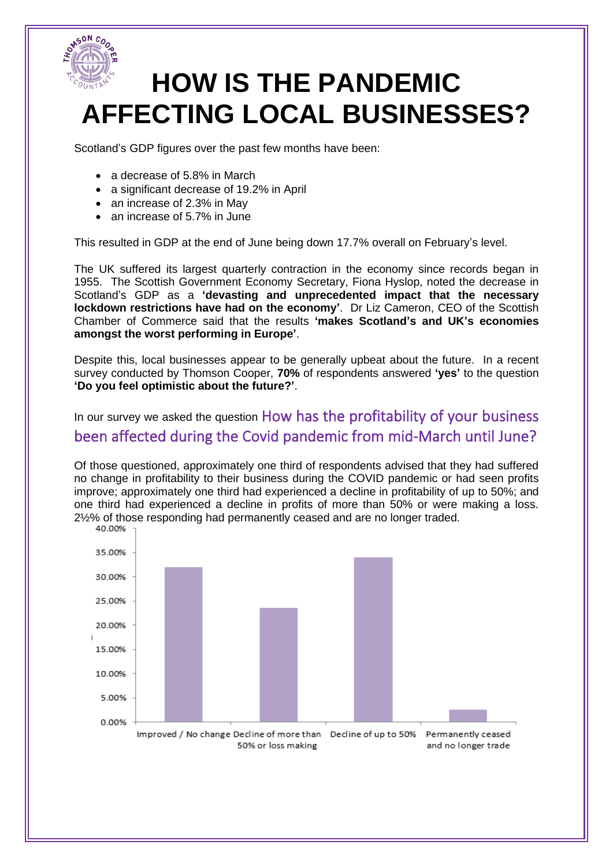

Scotland's GDP figures over the past few months have been:

- a decrease of 5.8% in March
- a significant decrease of 19.2% in April
- an increase of 2.3% in May
- an increase of 5.7% in June

This resulted in GDP at the end of June being down 17.7% overall on February's level.

The UK suffered its largest quarterly contraction in the economy since records began in 1955. The Scottish Government Economy Secretary, Fiona Hyslop, noted the decrease in Scotland's GDP as a **'devasting and unprecedented impact that the necessary lockdown restrictions have had on the economy'**. Dr Liz Cameron, CEO of the Scottish Chamber of Commerce said that the results **'makes Scotland's and UK's economies amongst the worst performing in Europe'**.

Despite this, local businesses appear to be generally upbeat about the future. In a recent survey conducted by Thomson Cooper, **70%** of respondents answered **'yes'** to the question **'Do you feel optimistic about the future?'**.

In our survey we asked the question How has the profitability of your business been affected during the Covid pandemic from mid-March until June?

Of those questioned, approximately one third of respondents advised that they had suffered no change in profitability to their business during the COVID pandemic or had seen profits improve; approximately one third had experienced a decline in profitability of up to 50%; and one third had experienced a decline in profits of more than 50% or were making a loss. 2½% of those responding had permanently ceased and are no longer traded.<br>40.00% and 00%

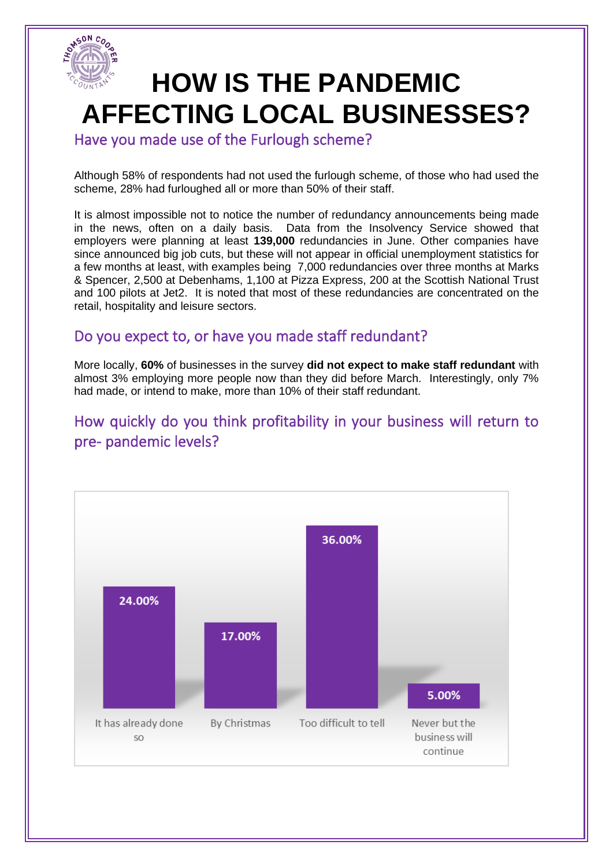

Have you made use of the Furlough scheme?

Although 58% of respondents had not used the furlough scheme, of those who had used the scheme, 28% had furloughed all or more than 50% of their staff.

It is almost impossible not to notice the number of redundancy announcements being made in the news, often on a daily basis. Data from the Insolvency Service showed that employers were planning at least **139,000** redundancies in June. Other companies have since announced big job cuts, but these will not appear in official unemployment statistics for a few months at least, with examples being 7,000 redundancies over three months at Marks & Spencer, 2,500 at Debenhams, 1,100 at Pizza Express, 200 at the Scottish National Trust and 100 pilots at Jet2. It is noted that most of these redundancies are concentrated on the retail, hospitality and leisure sectors.

#### Do you expect to, or have you made staff redundant?

More locally, **60%** of businesses in the survey **did not expect to make staff redundant** with almost 3% employing more people now than they did before March. Interestingly, only 7% had made, or intend to make, more than 10% of their staff redundant.

#### How quickly do you think profitability in your business will return to pre- pandemic levels?

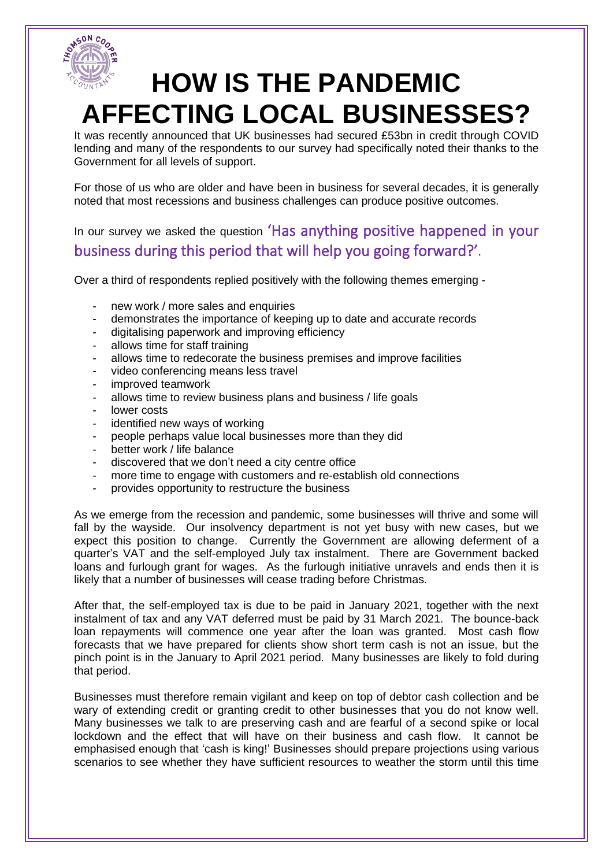

It was recently announced that UK businesses had secured £53bn in credit through COVID lending and many of the respondents to our survey had specifically noted their thanks to the Government for all levels of support.

For those of us who are older and have been in business for several decades, it is generally noted that most recessions and business challenges can produce positive outcomes.

In our survey we asked the question 'Has anything positive happened in your business during this period that will help you going forward?'.

Over a third of respondents replied positively with the following themes emerging -

- new work / more sales and enquiries
- demonstrates the importance of keeping up to date and accurate records
- digitalising paperwork and improving efficiency
- allows time for staff training
- allows time to redecorate the business premises and improve facilities
- video conferencing means less travel
- improved teamwork
- allows time to review business plans and business / life goals
- lower costs
- identified new ways of working
- people perhaps value local businesses more than they did
- better work / life balance
- discovered that we don't need a city centre office
- more time to engage with customers and re-establish old connections
- provides opportunity to restructure the business

As we emerge from the recession and pandemic, some businesses will thrive and some will fall by the wayside. Our insolvency department is not yet busy with new cases, but we expect this position to change. Currently the Government are allowing deferment of a quarter's VAT and the self-employed July tax instalment. There are Government backed loans and furlough grant for wages. As the furlough initiative unravels and ends then it is likely that a number of businesses will cease trading before Christmas.

After that, the self-employed tax is due to be paid in January 2021, together with the next instalment of tax and any VAT deferred must be paid by 31 March 2021. The bounce-back loan repayments will commence one year after the loan was granted. Most cash flow forecasts that we have prepared for clients show short term cash is not an issue, but the pinch point is in the January to April 2021 period. Many businesses are likely to fold during that period.

Businesses must therefore remain vigilant and keep on top of debtor cash collection and be wary of extending credit or granting credit to other businesses that you do not know well. Many businesses we talk to are preserving cash and are fearful of a second spike or local lockdown and the effect that will have on their business and cash flow. It cannot be emphasised enough that 'cash is king!' Businesses should prepare projections using various scenarios to see whether they have sufficient resources to weather the storm until this time